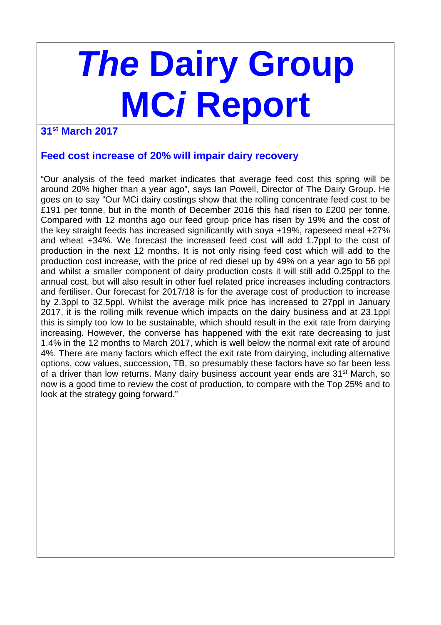# **The Dairy Group MCi Report**

# **31st March 2017**

## **Feed cost increase of 20% will impair dairy recovery**

"Our analysis of the feed market indicates that average feed cost this spring will be around 20% higher than a year ago", says Ian Powell, Director of The Dairy Group. He goes on to say "Our MCi dairy costings show that the rolling concentrate feed cost to be £191 per tonne, but in the month of December 2016 this had risen to £200 per tonne. Compared with 12 months ago our feed group price has risen by 19% and the cost of the key straight feeds has increased significantly with soya +19%, rapeseed meal +27% and wheat +34%. We forecast the increased feed cost will add 1.7ppl to the cost of production in the next 12 months. It is not only rising feed cost which will add to the production cost increase, with the price of red diesel up by 49% on a year ago to 56 ppl and whilst a smaller component of dairy production costs it will still add 0.25ppl to the annual cost, but will also result in other fuel related price increases including contractors and fertiliser. Our forecast for 2017/18 is for the average cost of production to increase by 2.3ppl to 32.5ppl. Whilst the average milk price has increased to 27ppl in January 2017, it is the rolling milk revenue which impacts on the dairy business and at 23.1ppl this is simply too low to be sustainable, which should result in the exit rate from dairying increasing. However, the converse has happened with the exit rate decreasing to just 1.4% in the 12 months to March 2017, which is well below the normal exit rate of around 4%. There are many factors which effect the exit rate from dairying, including alternative options, cow values, succession, TB, so presumably these factors have so far been less of a driver than low returns. Many dairy business account year ends are 31<sup>st</sup> March, so now is a good time to review the cost of production, to compare with the Top 25% and to look at the strategy going forward."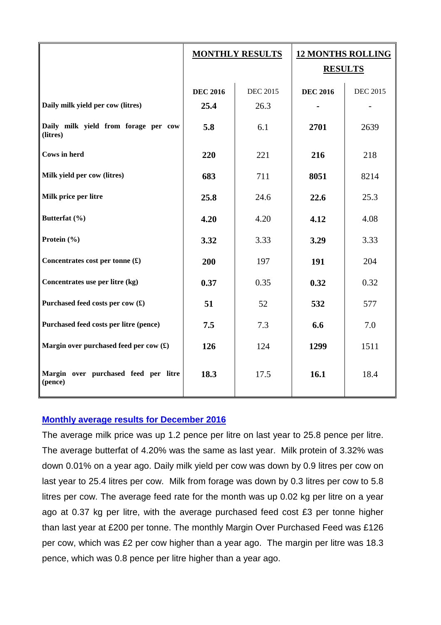|                                                         | <b>MONTHLY RESULTS</b> |                 | <b>12 MONTHS ROLLING</b><br><b>RESULTS</b> |                 |
|---------------------------------------------------------|------------------------|-----------------|--------------------------------------------|-----------------|
|                                                         | <b>DEC 2016</b>        | <b>DEC 2015</b> | <b>DEC 2016</b>                            | <b>DEC 2015</b> |
| Daily milk yield per cow (litres)                       | 25.4                   | 26.3            |                                            |                 |
| Daily milk yield from forage per cow<br>(litres)        | 5.8                    | 6.1             | 2701                                       | 2639            |
| <b>Cows in herd</b>                                     | 220                    | 221             | 216                                        | 218             |
| Milk yield per cow (litres)                             | 683                    | 711             | 8051                                       | 8214            |
| Milk price per litre                                    | 25.8                   | 24.6            | 22.6                                       | 25.3            |
| Butterfat (%)                                           | 4.20                   | 4.20            | 4.12                                       | 4.08            |
| Protein (%)                                             | 3.32                   | 3.33            | 3.29                                       | 3.33            |
| Concentrates cost per tonne $(\textbf{\pounds})$        | 200                    | 197             | 191                                        | 204             |
| Concentrates use per litre (kg)                         | 0.37                   | 0.35            | 0.32                                       | 0.32            |
| Purchased feed costs per cow (£)                        | 51                     | 52              | 532                                        | 577             |
| Purchased feed costs per litre (pence)                  | 7.5                    | 7.3             | 6.6                                        | 7.0             |
| Margin over purchased feed per cow $(\textbf{\pounds})$ | 126                    | 124             | 1299                                       | 1511            |
| Margin over purchased feed per litre<br>(pence)         | 18.3                   | 17.5            | 16.1                                       | 18.4            |

### **Monthly average results for December 2016**

The average milk price was up 1.2 pence per litre on last year to 25.8 pence per litre. The average butterfat of 4.20% was the same as last year. Milk protein of 3.32% was down 0.01% on a year ago. Daily milk yield per cow was down by 0.9 litres per cow on last year to 25.4 litres per cow. Milk from forage was down by 0.3 litres per cow to 5.8 litres per cow. The average feed rate for the month was up 0.02 kg per litre on a year ago at 0.37 kg per litre, with the average purchased feed cost £3 per tonne higher than last year at £200 per tonne. The monthly Margin Over Purchased Feed was £126 per cow, which was £2 per cow higher than a year ago. The margin per litre was 18.3 pence, which was 0.8 pence per litre higher than a year ago.